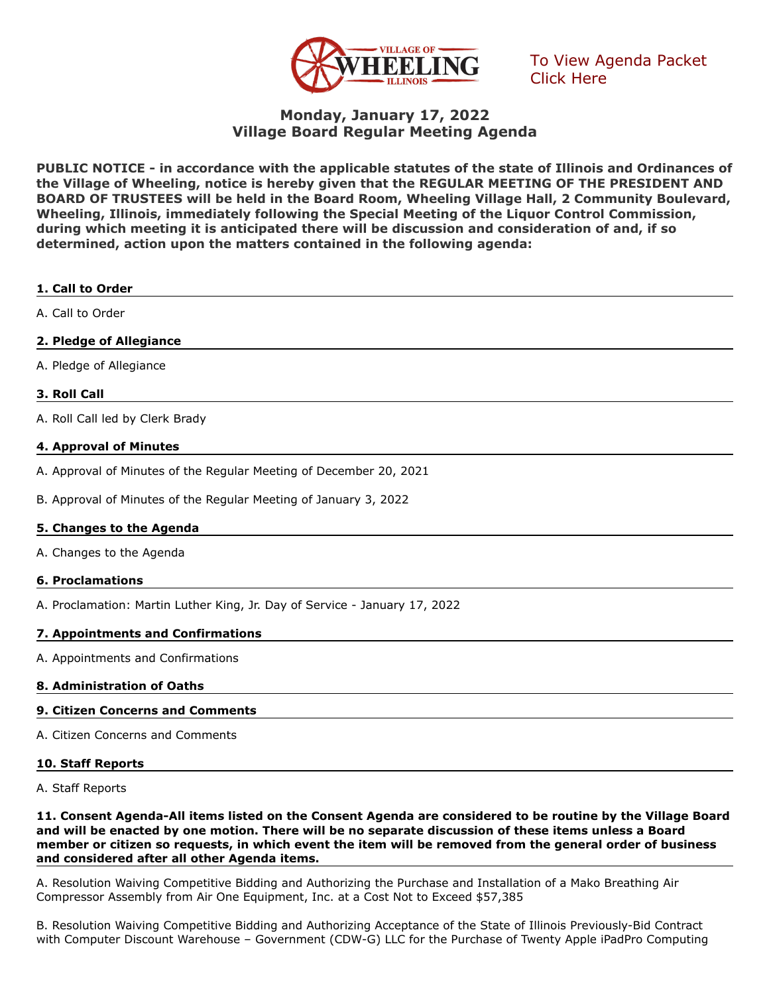

[To View Agenda Packet](http://go.boarddocs.com/il/vowil/Board.nsf/goto?open&id=C9SK5E502C9C)  Click Here

## **Monday, January 17, 2022 Village Board Regular Meeting Agenda**

**PUBLIC NOTICE - in accordance with the applicable statutes of the state of Illinois and Ordinances of the Village of Wheeling, notice is hereby given that the REGULAR MEETING OF THE PRESIDENT AND BOARD OF TRUSTEES will be held in the Board Room, Wheeling Village Hall, 2 Community Boulevard, Wheeling, Illinois, immediately following the Special Meeting of the Liquor Control Commission, during which meeting it is anticipated there will be discussion and consideration of and, if so determined, action upon the matters contained in the following agenda:**

# **1. Call to Order** A. Call to Order

## **2. Pledge of Allegiance**

A. Pledge of Allegiance

## **3. Roll Call**

A. Roll Call led by Clerk Brady

## **4. Approval of Minutes**

- A. Approval of Minutes of the Regular Meeting of December 20, 2021
- B. Approval of Minutes of the Regular Meeting of January 3, 2022

## **5. Changes to the Agenda**

A. Changes to the Agenda

## **6. Proclamations**

A. Proclamation: Martin Luther King, Jr. Day of Service - January 17, 2022

## **7. Appointments and Confirmations**

A. Appointments and Confirmations

## **8. Administration of Oaths**

## **9. Citizen Concerns and Comments**

A. Citizen Concerns and Comments

## **10. Staff Reports**

A. Staff Reports

**11. Consent Agenda-All items listed on the Consent Agenda are considered to be routine by the Village Board and will be enacted by one motion. There will be no separate discussion of these items unless a Board member or citizen so requests, in which event the item will be removed from the general order of business and considered after all other Agenda items.**

A. Resolution Waiving Competitive Bidding and Authorizing the Purchase and Installation of a Mako Breathing Air Compressor Assembly from Air One Equipment, Inc. at a Cost Not to Exceed \$57,385

B. Resolution Waiving Competitive Bidding and Authorizing Acceptance of the State of Illinois Previously-Bid Contract with Computer Discount Warehouse – Government (CDW-G) LLC for the Purchase of Twenty Apple iPadPro Computing